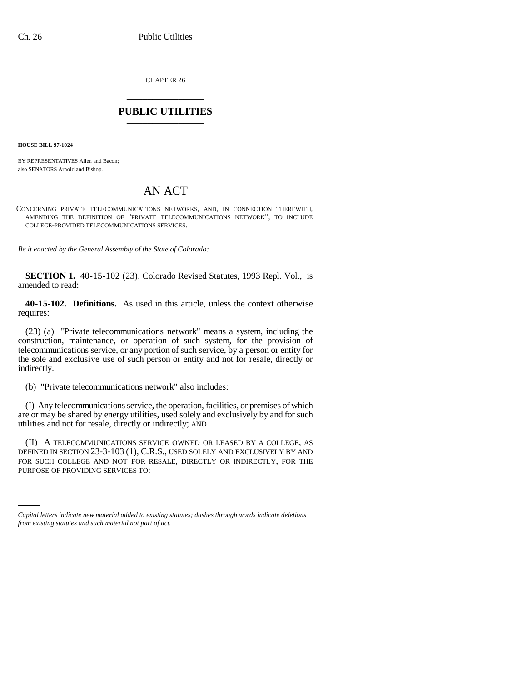CHAPTER 26 \_\_\_\_\_\_\_\_\_\_\_\_\_\_\_

## **PUBLIC UTILITIES** \_\_\_\_\_\_\_\_\_\_\_\_\_\_\_

**HOUSE BILL 97-1024**

BY REPRESENTATIVES Allen and Bacon; also SENATORS Arnold and Bishop.

## AN ACT

CONCERNING PRIVATE TELECOMMUNICATIONS NETWORKS, AND, IN CONNECTION THEREWITH, AMENDING THE DEFINITION OF "PRIVATE TELECOMMUNICATIONS NETWORK", TO INCLUDE COLLEGE-PROVIDED TELECOMMUNICATIONS SERVICES.

*Be it enacted by the General Assembly of the State of Colorado:*

**SECTION 1.** 40-15-102 (23), Colorado Revised Statutes, 1993 Repl. Vol., is amended to read:

**40-15-102. Definitions.** As used in this article, unless the context otherwise requires:

(23) (a) "Private telecommunications network" means a system, including the construction, maintenance, or operation of such system, for the provision of telecommunications service, or any portion of such service, by a person or entity for the sole and exclusive use of such person or entity and not for resale, directly or indirectly.

(b) "Private telecommunications network" also includes:

(I) Any telecommunications service, the operation, facilities, or premises of which are or may be shared by energy utilities, used solely and exclusively by and for such utilities and not for resale, directly or indirectly; AND

FOR SUCH COLLEGE AND NOT FOR RESALE, DIRECTLY OR INDIRECTLY, FOR THE (II) A TELECOMMUNICATIONS SERVICE OWNED OR LEASED BY A COLLEGE, AS DEFINED IN SECTION 23-3-103 (1), C.R.S., USED SOLELY AND EXCLUSIVELY BY AND PURPOSE OF PROVIDING SERVICES TO:

*Capital letters indicate new material added to existing statutes; dashes through words indicate deletions from existing statutes and such material not part of act.*